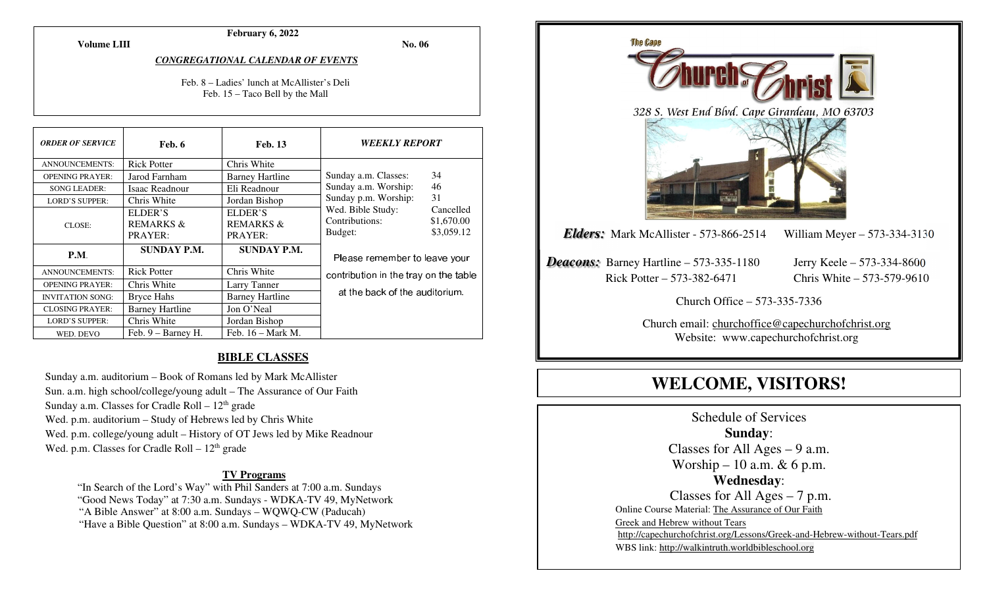**February 6, 2022** 

**Volume LIII**

**No. 06** 

*CONGREGATIONAL CALENDAR OF EVENTS* 

Feb. 8 – Ladies' lunch at McAllister's Deli Feb. 15 – Taco Bell by the Mall

| <b>ORDER OF SERVICE</b> | Feb. 6                 | <b>Feb. 13</b>         | <i><b>WEEKLY REPORT</b></i>           |            |
|-------------------------|------------------------|------------------------|---------------------------------------|------------|
| <b>ANNOUNCEMENTS:</b>   | <b>Rick Potter</b>     | Chris White            |                                       |            |
| <b>OPENING PRAYER:</b>  | Jarod Farnham          | <b>Barney Hartline</b> | Sunday a.m. Classes:                  | 34         |
| <b>SONG LEADER:</b>     | Isaac Readnour         | Eli Readnour           | Sunday a.m. Worship:                  | 46         |
| <b>LORD'S SUPPER:</b>   | Chris White            | Jordan Bishop          | Sunday p.m. Worship:                  | 31         |
| CLOSE:                  | ELDER'S                | ELDER'S                | Wed. Bible Study:                     | Cancelled  |
|                         | <b>REMARKS &amp;</b>   | <b>REMARKS &amp;</b>   | Contributions:                        | \$1,670.00 |
|                         | PRAYER:                | PRAYER:                | Budget:                               | \$3,059.12 |
| P.M.                    | <b>SUNDAY P.M.</b>     | <b>SUNDAY P.M.</b>     | Please remember to leave your         |            |
| <b>ANNOUNCEMENTS:</b>   | <b>Rick Potter</b>     | Chris White            | contribution in the tray on the table |            |
| <b>OPENING PRAYER:</b>  | Chris White            | Larry Tanner           |                                       |            |
| <b>INVITATION SONG:</b> | <b>Bryce Hahs</b>      | <b>Barney Hartline</b> | at the back of the auditorium.        |            |
| <b>CLOSING PRAYER:</b>  | <b>Barney Hartline</b> | Jon O'Neal             |                                       |            |
| <b>LORD'S SUPPER:</b>   | Chris White            | Jordan Bishop          |                                       |            |
| WED. DEVO               | Feb. $9 -$ Barney H.   | Feb. $16 - Mark M$ .   |                                       |            |

#### **BIBLE CLASSES**

Sunday a.m. auditorium – Book of Romans led by Mark McAllister Sun. a.m. high school/college/young adult – The Assurance of Our Faith Sunday a.m. Classes for Cradle Roll  $-12<sup>th</sup>$  grade Wed. p.m. auditorium – Study of Hebrews led by Chris White Wed. p.m. college/young adult – History of OT Jews led by Mike Readnour Wed. p.m. Classes for Cradle Roll  $-12<sup>th</sup>$  grade

#### **TV Programs**

 "In Search of the Lord's Way" with Phil Sanders at 7:00 a.m. Sundays "Good News Today" at 7:30 a.m. Sundays - WDKA-TV 49, MyNetwork "A Bible Answer" at 8:00 a.m. Sundays – WQWQ-CW (Paducah) "Have a Bible Question" at 8:00 a.m. Sundays – WDKA-TV 49, MyNetwork



**WELCOME, VISITORS!**

Schedule of Services **Sunday**: Classes for All Ages  $-9$  a.m. Worship – 10 a.m.  $& 6$  p.m. **Wednesday**: Classes for All Ages – 7 p.m. Online Course Material: The Assurance of Our Faith Greek and Hebrew without Tears http://capechurchofchrist.org/Lessons/Greek-and-Hebrew-without-Tears.pdfWBS link: http://walkintruth.worldbibleschool.org